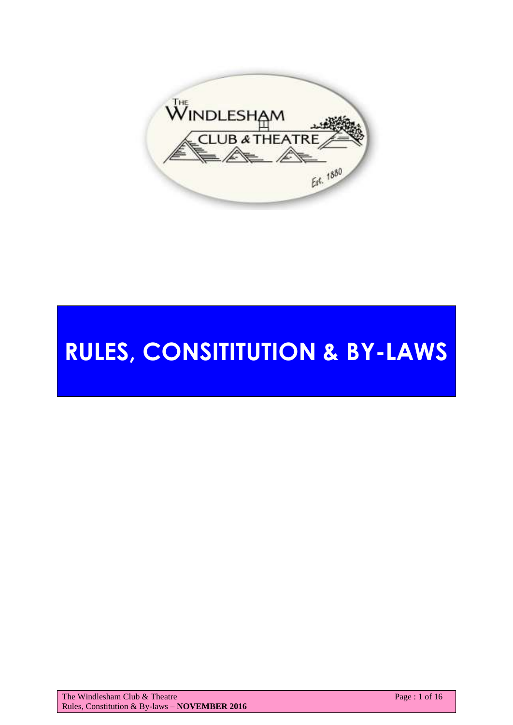

# **RULES, CONSITITUTION & BY-LAWS**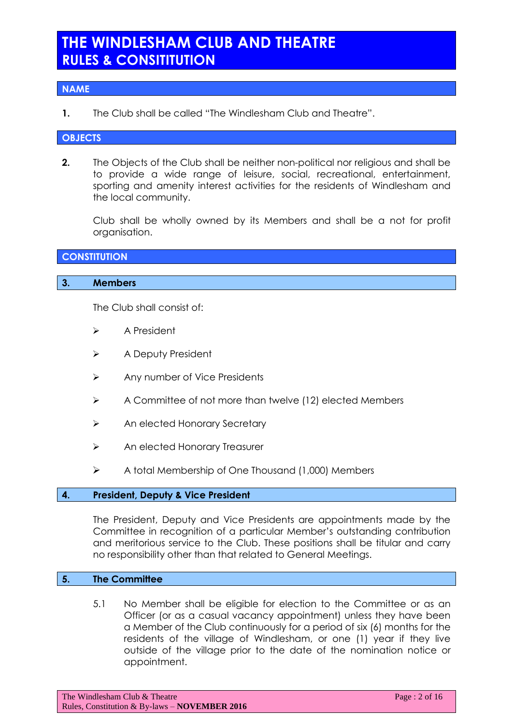## **THE WINDLESHAM CLUB AND THEATRE RULES & CONSITITUTION**

## **NAME**

**1.** The Club shall be called "The Windlesham Club and Theatre".

#### **OBJECTS**

**2.** The Objects of the Club shall be neither non-political nor religious and shall be to provide a wide range of leisure, social, recreational, entertainment, sporting and amenity interest activities for the residents of Windlesham and the local community.

Club shall be wholly owned by its Members and shall be a not for profit organisation.

## **CONSTITUTION**

#### **3. Members**

The Club shall consist of:

- **▶ A President**
- > A Deputy President
- > Any number of Vice Presidents
- $\triangleright$  A Committee of not more than twelve (12) elected Members
- > An elected Honorary Secretary
- > An elected Honorary Treasurer
- $\triangleright$  A total Membership of One Thousand (1,000) Members

#### **4. President, Deputy & Vice President**

The President, Deputy and Vice Presidents are appointments made by the Committee in recognition of a particular Member's outstanding contribution and meritorious service to the Club. These positions shall be titular and carry no responsibility other than that related to General Meetings.

#### **5. The Committee**

5.1 No Member shall be eligible for election to the Committee or as an Officer (or as a casual vacancy appointment) unless they have been a Member of the Club continuously for a period of six (6) months for the residents of the village of Windlesham, or one (1) year if they live outside of the village prior to the date of the nomination notice or appointment.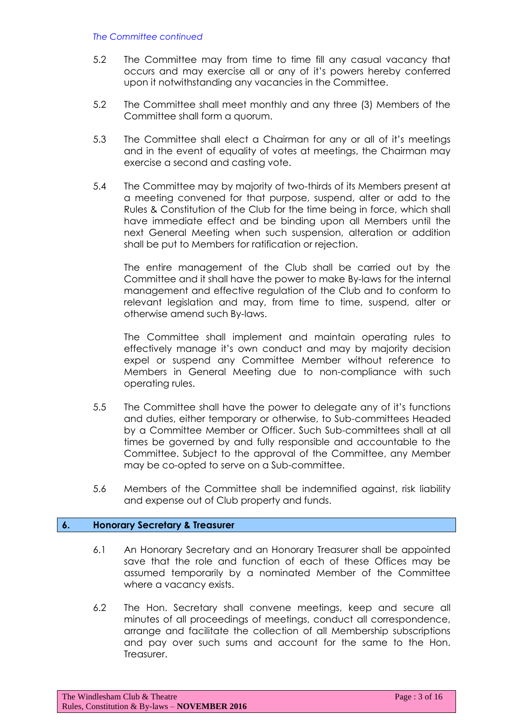#### *The Committee continued*

- 5.2 The Committee may from time to time fill any casual vacancy that occurs and may exercise all or any of it's powers hereby conferred upon it notwithstanding any vacancies in the Committee.
- 5.2 The Committee shall meet monthly and any three (3) Members of the Committee shall form a quorum.
- 5.3 The Committee shall elect a Chairman for any or all of it's meetings and in the event of equality of votes at meetings, the Chairman may exercise a second and casting vote.
- 5.4 The Committee may by majority of two-thirds of its Members present at a meeting convened for that purpose, suspend, alter or add to the Rules & Constitution of the Club for the time being in force, which shall have immediate effect and be binding upon all Members until the next General Meeting when such suspension, alteration or addition shall be put to Members for ratification or rejection.

The entire management of the Club shall be carried out by the Committee and it shall have the power to make By-laws for the internal management and effective regulation of the Club and to conform to relevant legislation and may, from time to time, suspend, alter or otherwise amend such By-laws.

The Committee shall implement and maintain operating rules to effectively manage it's own conduct and may by majority decision expel or suspend any Committee Member without reference to Members in General Meeting due to non-compliance with such operating rules.

- 5.5 The Committee shall have the power to delegate any of it's functions and duties, either temporary or otherwise, to Sub-committees Headed by a Committee Member or Officer. Such Sub-committees shall at all times be governed by and fully responsible and accountable to the Committee. Subject to the approval of the Committee, any Member may be co-opted to serve on a Sub-committee.
- 5.6 Members of the Committee shall be indemnified against, risk liability and expense out of Club property and funds.

#### **6. Honorary Secretary & Treasurer**

- 6.1 An Honorary Secretary and an Honorary Treasurer shall be appointed save that the role and function of each of these Offices may be assumed temporarily by a nominated Member of the Committee where a vacancy exists.
- 6.2 The Hon. Secretary shall convene meetings, keep and secure all minutes of all proceedings of meetings, conduct all correspondence, arrange and facilitate the collection of all Membership subscriptions and pay over such sums and account for the same to the Hon. Treasurer.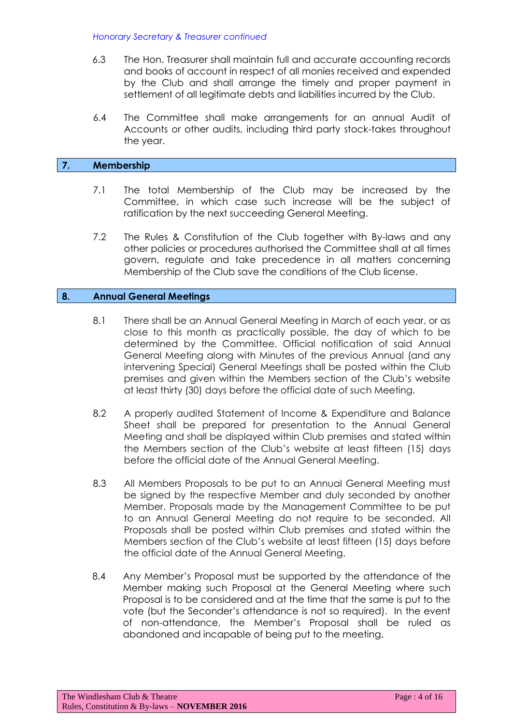*Honorary Secretary & Treasurer continued*

- 6.3 The Hon. Treasurer shall maintain full and accurate accounting records and books of account in respect of all monies received and expended by the Club and shall arrange the timely and proper payment in settlement of all legitimate debts and liabilities incurred by the Club.
- 6.4 The Committee shall make arrangements for an annual Audit of Accounts or other audits, including third party stock-takes throughout the year.

#### **7. Membership**

- 7.1 The total Membership of the Club may be increased by the Committee, in which case such increase will be the subject of ratification by the next succeeding General Meeting.
- 7.2 The Rules & Constitution of the Club together with By-laws and any other policies or procedures authorised the Committee shall at all times govern, regulate and take precedence in all matters concerning Membership of the Club save the conditions of the Club license.

#### **8. Annual General Meetings**

- 8.1 There shall be an Annual General Meeting in March of each year, or as close to this month as practically possible, the day of which to be determined by the Committee. Official notification of said Annual General Meeting along with Minutes of the previous Annual (and any intervening Special) General Meetings shall be posted within the Club premises and given within the Members section of the Club's website at least thirty (30) days before the official date of such Meeting.
- 8.2 A properly audited Statement of Income & Expenditure and Balance Sheet shall be prepared for presentation to the Annual General Meeting and shall be displayed within Club premises and stated within the Members section of the Club's website at least fifteen (15) days before the official date of the Annual General Meeting.
- 8.3 All Members Proposals to be put to an Annual General Meeting must be signed by the respective Member and duly seconded by another Member. Proposals made by the Management Committee to be put to an Annual General Meeting do not require to be seconded. All Proposals shall be posted within Club premises and stated within the Members section of the Club's website at least fifteen (15) days before the official date of the Annual General Meeting.
- 8.4 Any Member's Proposal must be supported by the attendance of the Member making such Proposal at the General Meeting where such Proposal is to be considered and at the time that the same is put to the vote (but the Seconder's attendance is not so required). In the event of non-attendance, the Member's Proposal shall be ruled as abandoned and incapable of being put to the meeting.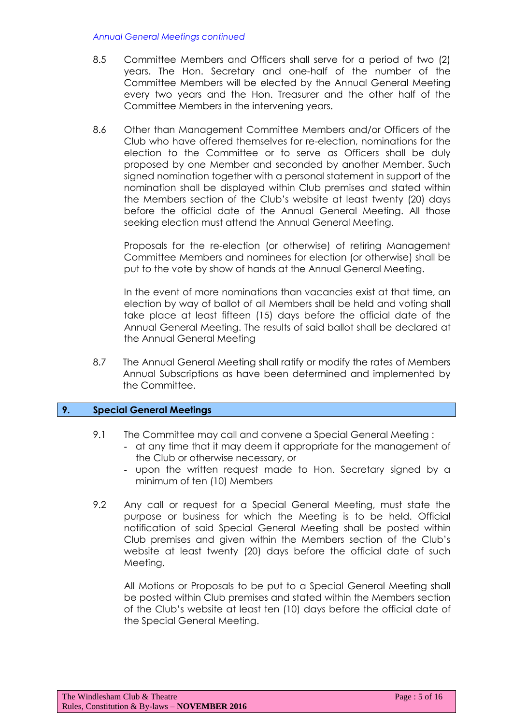#### *Annual General Meetings continued*

- 8.5 Committee Members and Officers shall serve for a period of two (2) years. The Hon. Secretary and one-half of the number of the Committee Members will be elected by the Annual General Meeting every two years and the Hon. Treasurer and the other half of the Committee Members in the intervening years.
- 8.6 Other than Management Committee Members and/or Officers of the Club who have offered themselves for re-election, nominations for the election to the Committee or to serve as Officers shall be duly proposed by one Member and seconded by another Member. Such signed nomination together with a personal statement in support of the nomination shall be displayed within Club premises and stated within the Members section of the Club's website at least twenty (20) days before the official date of the Annual General Meeting. All those seeking election must attend the Annual General Meeting.

Proposals for the re-election (or otherwise) of retiring Management Committee Members and nominees for election (or otherwise) shall be put to the vote by show of hands at the Annual General Meeting.

In the event of more nominations than vacancies exist at that time, an election by way of ballot of all Members shall be held and voting shall take place at least fifteen (15) days before the official date of the Annual General Meeting. The results of said ballot shall be declared at the Annual General Meeting

8.7 The Annual General Meeting shall ratify or modify the rates of Members Annual Subscriptions as have been determined and implemented by the Committee.

#### **9. Special General Meetings**

- 9.1 The Committee may call and convene a Special General Meeting :
	- at any time that it may deem it appropriate for the management of the Club or otherwise necessary, or
	- upon the written request made to Hon. Secretary signed by a minimum of ten (10) Members
- 9.2 Any call or request for a Special General Meeting, must state the purpose or business for which the Meeting is to be held. Official notification of said Special General Meeting shall be posted within Club premises and given within the Members section of the Club's website at least twenty (20) days before the official date of such Meeting.

All Motions or Proposals to be put to a Special General Meeting shall be posted within Club premises and stated within the Members section of the Club's website at least ten (10) days before the official date of the Special General Meeting.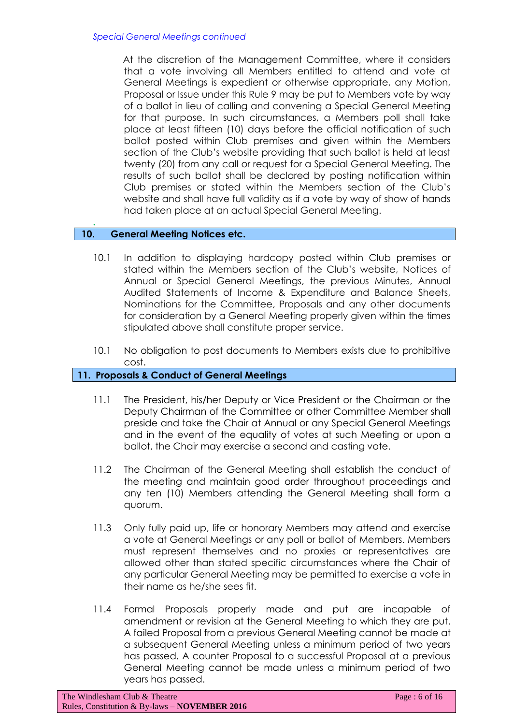At the discretion of the Management Committee, where it considers that a vote involving all Members entitled to attend and vote at General Meetings is expedient or otherwise appropriate, any Motion, Proposal or Issue under this Rule 9 may be put to Members vote by way of a ballot in lieu of calling and convening a Special General Meeting for that purpose. In such circumstances, a Members poll shall take place at least fifteen (10) days before the official notification of such ballot posted within Club premises and given within the Members section of the Club's website providing that such ballot is held at least twenty (20) from any call or request for a Special General Meeting. The results of such ballot shall be declared by posting notification within Club premises or stated within the Members section of the Club's website and shall have full validity as if a vote by way of show of hands had taken place at an actual Special General Meeting.

## **10. General Meeting Notices etc.**

**.** 

- 10.1 In addition to displaying hardcopy posted within Club premises or stated within the Members section of the Club's website, Notices of Annual or Special General Meetings, the previous Minutes, Annual Audited Statements of Income & Expenditure and Balance Sheets, Nominations for the Committee, Proposals and any other documents for consideration by a General Meeting properly given within the times stipulated above shall constitute proper service.
- 10.1 No obligation to post documents to Members exists due to prohibitive cost.

#### **11. Proposals & Conduct of General Meetings**

- 11.1 The President, his/her Deputy or Vice President or the Chairman or the Deputy Chairman of the Committee or other Committee Member shall preside and take the Chair at Annual or any Special General Meetings and in the event of the equality of votes at such Meeting or upon a ballot, the Chair may exercise a second and casting vote.
- 11.2 The Chairman of the General Meeting shall establish the conduct of the meeting and maintain good order throughout proceedings and any ten (10) Members attending the General Meeting shall form a quorum.
- 11.3 Only fully paid up, life or honorary Members may attend and exercise a vote at General Meetings or any poll or ballot of Members. Members must represent themselves and no proxies or representatives are allowed other than stated specific circumstances where the Chair of any particular General Meeting may be permitted to exercise a vote in their name as he/she sees fit.
- 11.4 Formal Proposals properly made and put are incapable of amendment or revision at the General Meeting to which they are put. A failed Proposal from a previous General Meeting cannot be made at a subsequent General Meeting unless a minimum period of two years has passed. A counter Proposal to a successful Proposal at a previous General Meeting cannot be made unless a minimum period of two years has passed.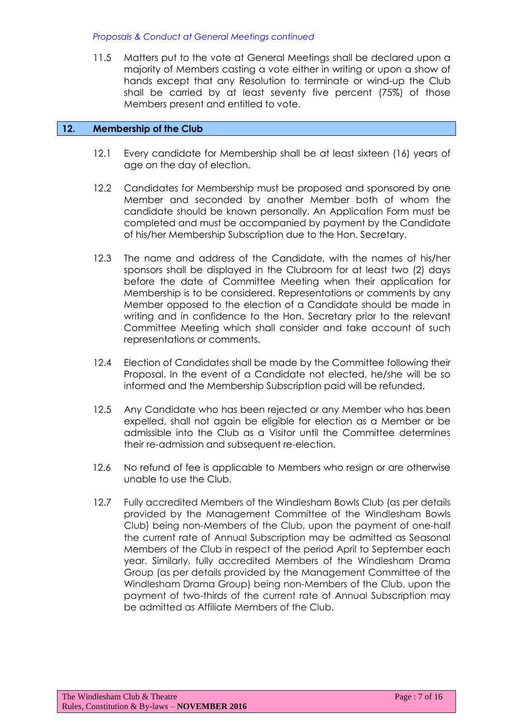*Proposals & Conduct at General Meetings continued*

11.5 Matters put to the vote at General Meetings shall be declared upon a majority of Members casting a vote either in writing or upon a show of hands except that any Resolution to terminate or wind-up the Club shall be carried by at least seventy five percent (75%) of those Members present and entitled to vote.

#### **12. Membership of the Club**

- 12.1 Every candidate for Membership shall be at least sixteen (16) years of age on the day of election.
- 12.2 Candidates for Membership must be proposed and sponsored by one Member and seconded by another Member both of whom the candidate should be known personally. An Application Form must be completed and must be accompanied by payment by the Candidate of his/her Membership Subscription due to the Hon. Secretary.
- 12.3 The name and address of the Candidate, with the names of his/her sponsors shall be displayed in the Clubroom for at least two (2) days before the date of Committee Meeting when their application for Membership is to be considered. Representations or comments by any Member opposed to the election of a Candidate should be made in writing and in confidence to the Hon. Secretary prior to the relevant Committee Meeting which shall consider and take account of such representations or comments.
- 12.4 Election of Candidates shall be made by the Committee following their Proposal. In the event of a Candidate not elected, he/she will be so informed and the Membership Subscription paid will be refunded.
- 12.5 Any Candidate who has been rejected or any Member who has been expelled, shall not again be eligible for election as a Member or be admissible into the Club as a Visitor until the Committee determines their re-admission and subsequent re-election.
- 12.6 No refund of fee is applicable to Members who resign or are otherwise unable to use the Club.
- 12.7 Fully accredited Members of the Windlesham Bowls Club (as per details provided by the Management Committee of the Windlesham Bowls Club) being non-Members of the Club, upon the payment of one-half the current rate of Annual Subscription may be admitted as Seasonal Members of the Club in respect of the period April to September each year. Similarly, fully accredited Members of the Windlesham Drama Group (as per details provided by the Management Committee of the Windlesham Drama Group) being non-Members of the Club, upon the payment of two-thirds of the current rate of Annual Subscription may be admitted as Affiliate Members of the Club.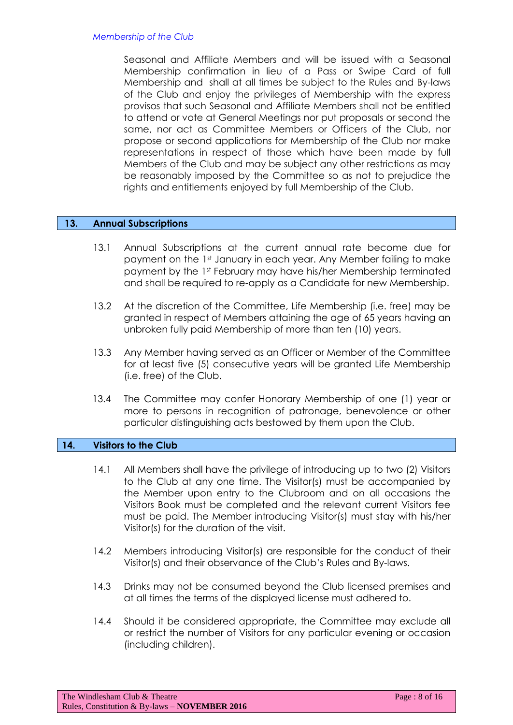Seasonal and Affiliate Members and will be issued with a Seasonal Membership confirmation in lieu of a Pass or Swipe Card of full Membership and shall at all times be subject to the Rules and By-laws of the Club and enjoy the privileges of Membership with the express provisos that such Seasonal and Affiliate Members shall not be entitled to attend or vote at General Meetings nor put proposals or second the same, nor act as Committee Members or Officers of the Club, nor propose or second applications for Membership of the Club nor make representations in respect of those which have been made by full Members of the Club and may be subject any other restrictions as may be reasonably imposed by the Committee so as not to prejudice the rights and entitlements enjoyed by full Membership of the Club.

## **13. Annual Subscriptions**

- 13.1 Annual Subscriptions at the current annual rate become due for payment on the 1st January in each year. Any Member failing to make payment by the 1st February may have his/her Membership terminated and shall be required to re-apply as a Candidate for new Membership.
- 13.2 At the discretion of the Committee, Life Membership (i.e. free) may be granted in respect of Members attaining the age of 65 years having an unbroken fully paid Membership of more than ten (10) years.
- 13.3 Any Member having served as an Officer or Member of the Committee for at least five (5) consecutive years will be granted Life Membership (i.e. free) of the Club.
- 13.4 The Committee may confer Honorary Membership of one (1) year or more to persons in recognition of patronage, benevolence or other particular distinguishing acts bestowed by them upon the Club.

#### **14. Visitors to the Club**

- 14.1 All Members shall have the privilege of introducing up to two (2) Visitors to the Club at any one time. The Visitor(s) must be accompanied by the Member upon entry to the Clubroom and on all occasions the Visitors Book must be completed and the relevant current Visitors fee must be paid. The Member introducing Visitor(s) must stay with his/her Visitor(s) for the duration of the visit.
- 14.2 Members introducing Visitor(s) are responsible for the conduct of their Visitor(s) and their observance of the Club's Rules and By-laws.
- 14.3 Drinks may not be consumed beyond the Club licensed premises and at all times the terms of the displayed license must adhered to.
- 14.4 Should it be considered appropriate, the Committee may exclude all or restrict the number of Visitors for any particular evening or occasion (including children).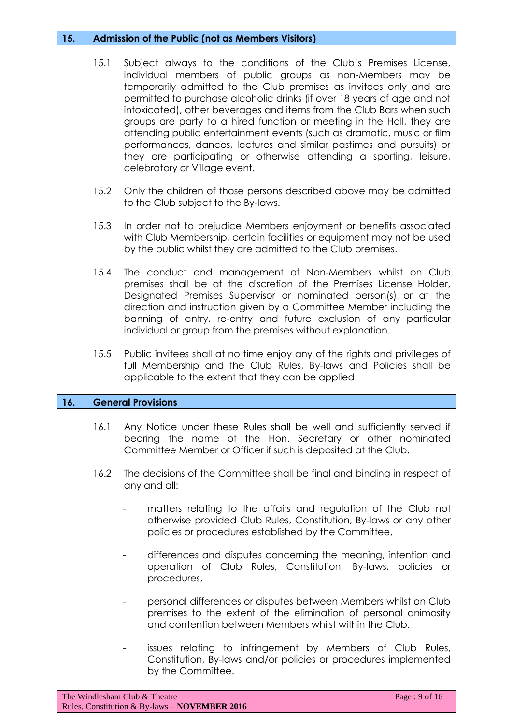#### **15. Admission of the Public (not as Members Visitors)**

- 15.1 Subject always to the conditions of the Club's Premises License, individual members of public groups as non-Members may be temporarily admitted to the Club premises as invitees only and are permitted to purchase alcoholic drinks (if over 18 years of age and not intoxicated), other beverages and items from the Club Bars when such groups are party to a hired function or meeting in the Hall, they are attending public entertainment events (such as dramatic, music or film performances, dances, lectures and similar pastimes and pursuits) or they are participating or otherwise attending a sporting, leisure, celebratory or Village event.
- 15.2 Only the children of those persons described above may be admitted to the Club subject to the By-laws.
- 15.3 In order not to prejudice Members enjoyment or benefits associated with Club Membership, certain facilities or equipment may not be used by the public whilst they are admitted to the Club premises.
- 15.4 The conduct and management of Non-Members whilst on Club premises shall be at the discretion of the Premises License Holder, Designated Premises Supervisor or nominated person(s) or at the direction and instruction given by a Committee Member including the banning of entry, re-entry and future exclusion of any particular individual or group from the premises without explanation.
- 15.5 Public invitees shall at no time enjoy any of the rights and privileges of full Membership and the Club Rules, By-laws and Policies shall be applicable to the extent that they can be applied.

#### **16. General Provisions**

- 16.1 Any Notice under these Rules shall be well and sufficiently served if bearing the name of the Hon. Secretary or other nominated Committee Member or Officer if such is deposited at the Club.
- 16.2 The decisions of the Committee shall be final and binding in respect of any and all:
	- matters relating to the affairs and regulation of the Club not otherwise provided Club Rules, Constitution, By-laws or any other policies or procedures established by the Committee,
	- differences and disputes concerning the meaning, intention and operation of Club Rules, Constitution, By-laws, policies or procedures,
	- personal differences or disputes between Members whilst on Club premises to the extent of the elimination of personal animosity and contention between Members whilst within the Club.
	- issues relating to infringement by Members of Club Rules, Constitution, By-laws and/or policies or procedures implemented by the Committee.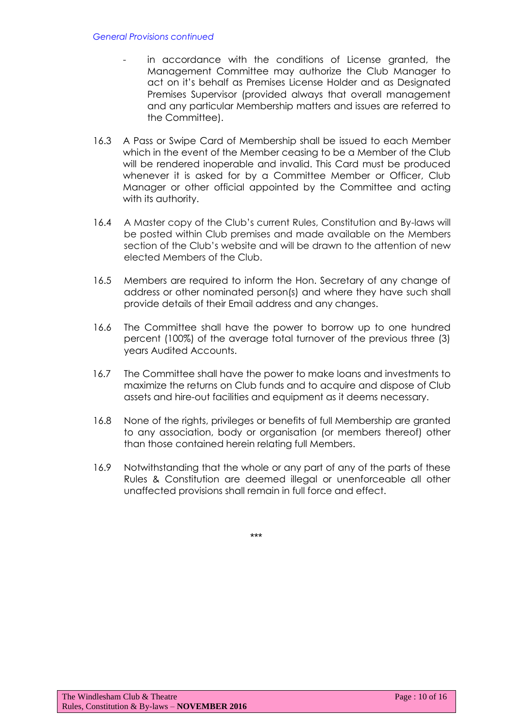- in accordance with the conditions of License granted, the Management Committee may authorize the Club Manager to act on it's behalf as Premises License Holder and as Designated Premises Supervisor (provided always that overall management and any particular Membership matters and issues are referred to the Committee).
- 16.3 A Pass or Swipe Card of Membership shall be issued to each Member which in the event of the Member ceasing to be a Member of the Club will be rendered inoperable and invalid. This Card must be produced whenever it is asked for by a Committee Member or Officer, Club Manager or other official appointed by the Committee and acting with its authority.
- 16.4 A Master copy of the Club's current Rules, Constitution and By-laws will be posted within Club premises and made available on the Members section of the Club's website and will be drawn to the attention of new elected Members of the Club.
- 16.5 Members are required to inform the Hon. Secretary of any change of address or other nominated person(s) and where they have such shall provide details of their Email address and any changes.
- 16.6 The Committee shall have the power to borrow up to one hundred percent (100%) of the average total turnover of the previous three (3) years Audited Accounts.
- 16.7 The Committee shall have the power to make loans and investments to maximize the returns on Club funds and to acquire and dispose of Club assets and hire-out facilities and equipment as it deems necessary.
- 16.8 None of the rights, privileges or benefits of full Membership are granted to any association, body or organisation (or members thereof) other than those contained herein relating full Members.
- 16.9 Notwithstanding that the whole or any part of any of the parts of these Rules & Constitution are deemed illegal or unenforceable all other unaffected provisions shall remain in full force and effect.

\*\*\*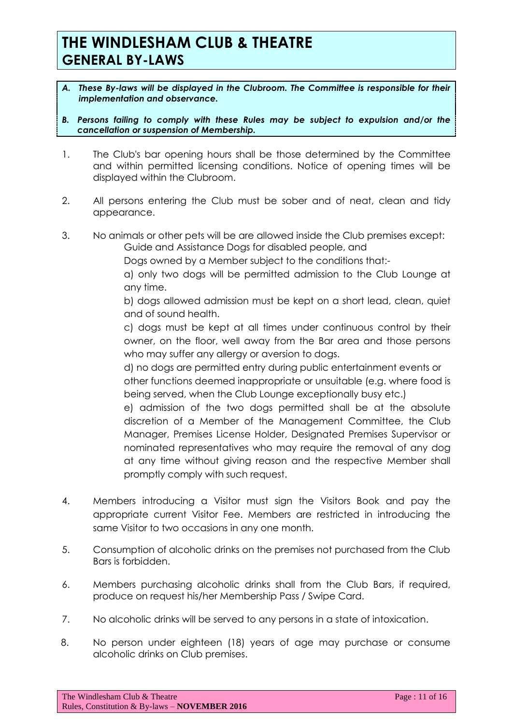- *A. These By-laws will be displayed in the Clubroom. The Committee is responsible for their implementation and observance.*
- *B. Persons failing to comply with these Rules may be subject to expulsion and/or the cancellation or suspension of Membership.*
- 1. The Club's bar opening hours shall be those determined by the Committee and within permitted licensing conditions. Notice of opening times will be displayed within the Clubroom.
- 2. All persons entering the Club must be sober and of neat, clean and tidy appearance.
- 3. No animals or other pets will be are allowed inside the Club premises except:
	- Guide and Assistance Dogs for disabled people, and
	- Dogs owned by a Member subject to the conditions that:-
	- a) only two dogs will be permitted admission to the Club Lounge at any time.
	- b) dogs allowed admission must be kept on a short lead, clean, quiet and of sound health.
	- c) dogs must be kept at all times under continuous control by their owner, on the floor, well away from the Bar area and those persons who may suffer any allergy or aversion to dogs.
	- d) no dogs are permitted entry during public entertainment events or other functions deemed inappropriate or unsuitable (e.g. where food is being served, when the Club Lounge exceptionally busy etc.)
	- e) admission of the two dogs permitted shall be at the absolute discretion of a Member of the Management Committee, the Club Manager, Premises License Holder, Designated Premises Supervisor or nominated representatives who may require the removal of any dog at any time without giving reason and the respective Member shall promptly comply with such request.
- 4. Members introducing a Visitor must sign the Visitors Book and pay the appropriate current Visitor Fee. Members are restricted in introducing the same Visitor to two occasions in any one month.
- 5. Consumption of alcoholic drinks on the premises not purchased from the Club Bars is forbidden.
- 6. Members purchasing alcoholic drinks shall from the Club Bars, if required, produce on request his/her Membership Pass / Swipe Card.
- 7. No alcoholic drinks will be served to any persons in a state of intoxication.
- 8. No person under eighteen (18) years of age may purchase or consume alcoholic drinks on Club premises.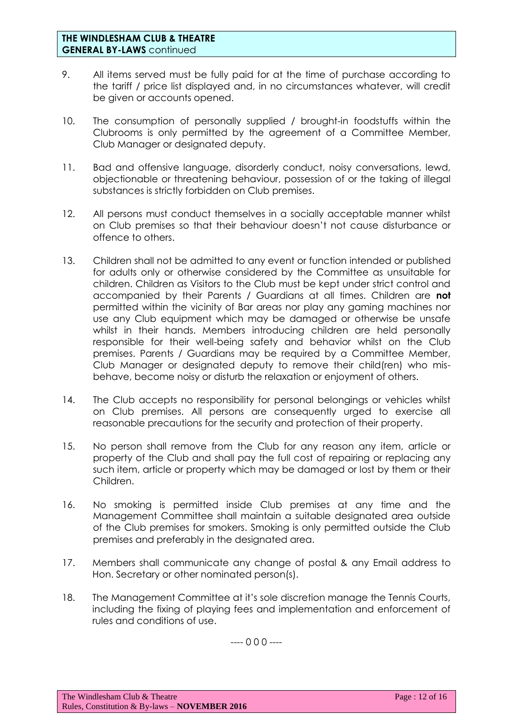- 9. All items served must be fully paid for at the time of purchase according to the tariff / price list displayed and, in no circumstances whatever, will credit be given or accounts opened.
- 10. The consumption of personally supplied / brought-in foodstuffs within the Clubrooms is only permitted by the agreement of a Committee Member, Club Manager or designated deputy.
- 11. Bad and offensive language, disorderly conduct, noisy conversations, lewd, objectionable or threatening behaviour, possession of or the taking of illegal substances is strictly forbidden on Club premises.
- 12. All persons must conduct themselves in a socially acceptable manner whilst on Club premises so that their behaviour doesn't not cause disturbance or offence to others.
- 13. Children shall not be admitted to any event or function intended or published for adults only or otherwise considered by the Committee as unsuitable for children. Children as Visitors to the Club must be kept under strict control and accompanied by their Parents / Guardians at all times. Children are **not** permitted within the vicinity of Bar areas nor play any gaming machines nor use any Club equipment which may be damaged or otherwise be unsafe whilst in their hands. Members introducing children are held personally responsible for their well-being safety and behavior whilst on the Club premises. Parents / Guardians may be required by a Committee Member, Club Manager or designated deputy to remove their child(ren) who misbehave, become noisy or disturb the relaxation or enjoyment of others.
- 14. The Club accepts no responsibility for personal belongings or vehicles whilst on Club premises. All persons are consequently urged to exercise all reasonable precautions for the security and protection of their property.
- 15. No person shall remove from the Club for any reason any item, article or property of the Club and shall pay the full cost of repairing or replacing any such item, article or property which may be damaged or lost by them or their Children.
- 16. No smoking is permitted inside Club premises at any time and the Management Committee shall maintain a suitable designated area outside of the Club premises for smokers. Smoking is only permitted outside the Club premises and preferably in the designated area.
- 17. Members shall communicate any change of postal & any Email address to Hon. Secretary or other nominated person(s).
- 18. The Management Committee at it's sole discretion manage the Tennis Courts, including the fixing of playing fees and implementation and enforcement of rules and conditions of use.

---- 0 0 0 ----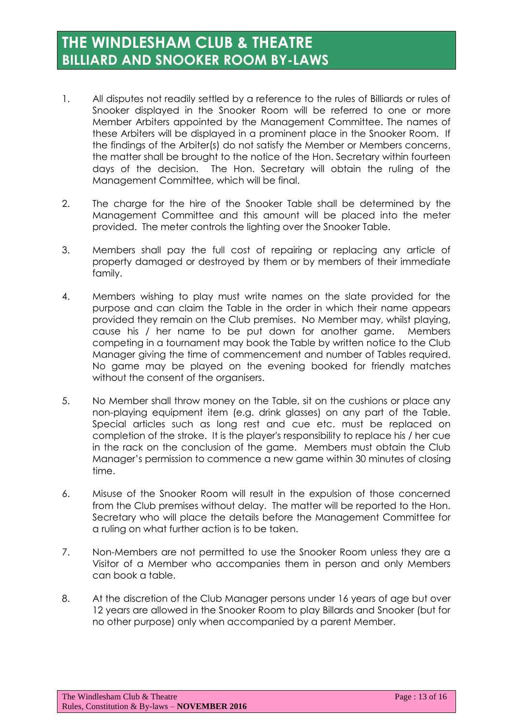# **THE WINDLESHAM CLUB & THEATRE BILLIARD AND SNOOKER ROOM BY-LAWS**

- 1. All disputes not readily settled by a reference to the rules of Billiards or rules of Snooker displayed in the Snooker Room will be referred to one or more Member Arbiters appointed by the Management Committee. The names of these Arbiters will be displayed in a prominent place in the Snooker Room. If the findings of the Arbiter(s) do not satisfy the Member or Members concerns, the matter shall be brought to the notice of the Hon. Secretary within fourteen days of the decision. The Hon. Secretary will obtain the ruling of the Management Committee, which will be final.
- 2. The charge for the hire of the Snooker Table shall be determined by the Management Committee and this amount will be placed into the meter provided. The meter controls the lighting over the Snooker Table.
- 3. Members shall pay the full cost of repairing or replacing any article of property damaged or destroyed by them or by members of their immediate family.
- 4. Members wishing to play must write names on the slate provided for the purpose and can claim the Table in the order in which their name appears provided they remain on the Club premises. No Member may, whilst playing, cause his / her name to be put down for another game. Members competing in a tournament may book the Table by written notice to the Club Manager giving the time of commencement and number of Tables required. No game may be played on the evening booked for friendly matches without the consent of the organisers.
- 5. No Member shall throw money on the Table, sit on the cushions or place any non-playing equipment item (e.g. drink glasses) on any part of the Table. Special articles such as long rest and cue etc. must be replaced on completion of the stroke. It is the player's responsibility to replace his / her cue in the rack on the conclusion of the game. Members must obtain the Club Manager's permission to commence a new game within 30 minutes of closing time.
- 6. Misuse of the Snooker Room will result in the expulsion of those concerned from the Club premises without delay. The matter will be reported to the Hon. Secretary who will place the details before the Management Committee for a ruling on what further action is to be taken.
- 7. Non-Members are not permitted to use the Snooker Room unless they are a Visitor of a Member who accompanies them in person and only Members can book a table.
- 8. At the discretion of the Club Manager persons under 16 years of age but over 12 years are allowed in the Snooker Room to play Billards and Snooker (but for no other purpose) only when accompanied by a parent Member.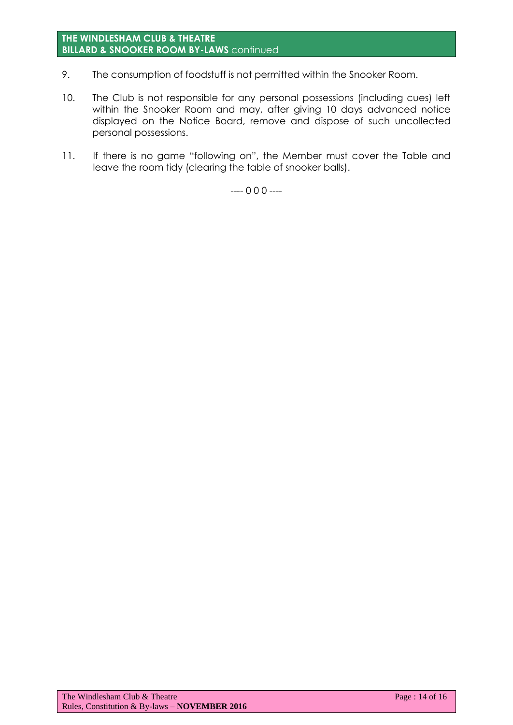#### **THE WINDLESHAM CLUB & THEATRE BILLARD & SNOOKER ROOM BY-LAWS** continued

- 9. The consumption of foodstuff is not permitted within the Snooker Room.
- 10. The Club is not responsible for any personal possessions (including cues) left within the Snooker Room and may, after giving 10 days advanced notice displayed on the Notice Board, remove and dispose of such uncollected personal possessions.
- 11. If there is no game "following on", the Member must cover the Table and leave the room tidy (clearing the table of snooker balls).

---- 0 0 0 ----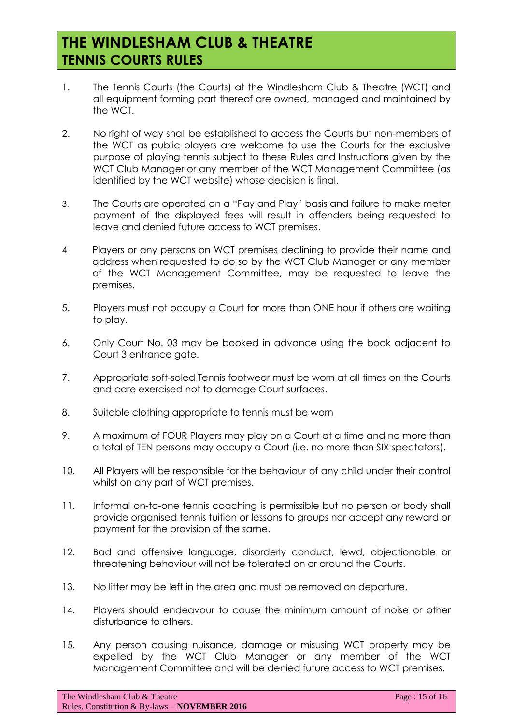# **THE WINDLESHAM CLUB & THEATRE TENNIS COURTS RULES**

- 1. The Tennis Courts (the Courts) at the Windlesham Club & Theatre (WCT) and all equipment forming part thereof are owned, managed and maintained by the WCT.
- 2. No right of way shall be established to access the Courts but non-members of the WCT as public players are welcome to use the Courts for the exclusive purpose of playing tennis subject to these Rules and Instructions given by the WCT Club Manager or any member of the WCT Management Committee (as identified by the WCT website) whose decision is final.
- 3. The Courts are operated on a "Pay and Play" basis and failure to make meter payment of the displayed fees will result in offenders being requested to leave and denied future access to WCT premises.
- 4 Players or any persons on WCT premises declining to provide their name and address when requested to do so by the WCT Club Manager or any member of the WCT Management Committee, may be requested to leave the premises.
- 5. Players must not occupy a Court for more than ONE hour if others are waiting to play.
- 6. Only Court No. 03 may be booked in advance using the book adjacent to Court 3 entrance gate.
- 7. Appropriate soft-soled Tennis footwear must be worn at all times on the Courts and care exercised not to damage Court surfaces.
- 8. Suitable clothing appropriate to tennis must be worn
- 9. A maximum of FOUR Players may play on a Court at a time and no more than a total of TEN persons may occupy a Court (i.e. no more than SIX spectators).
- 10. All Players will be responsible for the behaviour of any child under their control whilst on any part of WCT premises.
- 11. Informal on-to-one tennis coaching is permissible but no person or body shall provide organised tennis tuition or lessons to groups nor accept any reward or payment for the provision of the same.
- 12. Bad and offensive language, disorderly conduct, lewd, objectionable or threatening behaviour will not be tolerated on or around the Courts.
- 13. No litter may be left in the area and must be removed on departure.
- 14. Players should endeavour to cause the minimum amount of noise or other disturbance to others.
- 15. Any person causing nuisance, damage or misusing WCT property may be expelled by the WCT Club Manager or any member of the WCT Management Committee and will be denied future access to WCT premises.